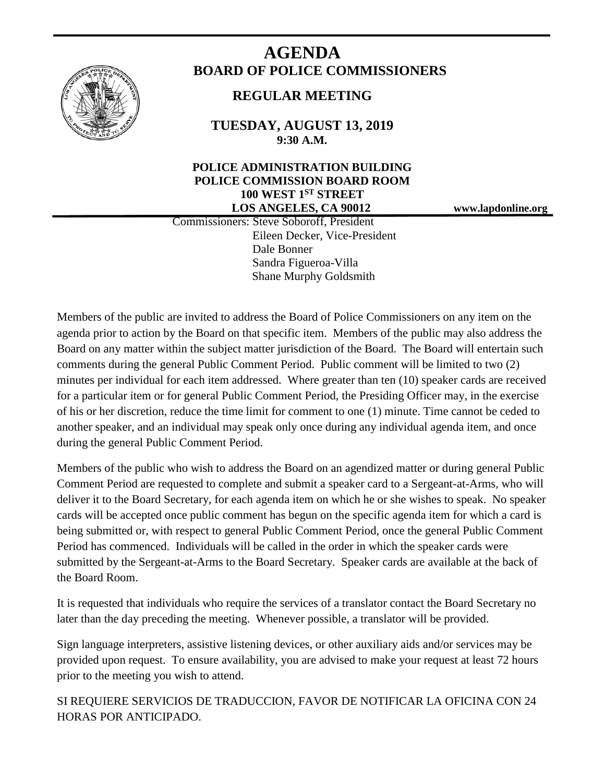

# **AGENDA BOARD OF POLICE COMMISSIONERS**

# **REGULAR MEETING**

**TUESDAY, AUGUST 13, 2019 9:30 A.M.**

## **POLICE ADMINISTRATION BUILDING POLICE COMMISSION BOARD ROOM 100 WEST 1ST STREET LOS ANGELES, CA 90012 www.lapdonline.org**

 Commissioners: Steve Soboroff, President Eileen Decker, Vice-President Dale Bonner Sandra Figueroa-Villa Shane Murphy Goldsmith

Members of the public are invited to address the Board of Police Commissioners on any item on the agenda prior to action by the Board on that specific item. Members of the public may also address the Board on any matter within the subject matter jurisdiction of the Board. The Board will entertain such comments during the general Public Comment Period. Public comment will be limited to two (2) minutes per individual for each item addressed. Where greater than ten (10) speaker cards are received for a particular item or for general Public Comment Period, the Presiding Officer may, in the exercise of his or her discretion, reduce the time limit for comment to one (1) minute. Time cannot be ceded to another speaker, and an individual may speak only once during any individual agenda item, and once during the general Public Comment Period.

Members of the public who wish to address the Board on an agendized matter or during general Public Comment Period are requested to complete and submit a speaker card to a Sergeant-at-Arms, who will deliver it to the Board Secretary, for each agenda item on which he or she wishes to speak. No speaker cards will be accepted once public comment has begun on the specific agenda item for which a card is being submitted or, with respect to general Public Comment Period, once the general Public Comment Period has commenced. Individuals will be called in the order in which the speaker cards were submitted by the Sergeant-at-Arms to the Board Secretary. Speaker cards are available at the back of the Board Room.

It is requested that individuals who require the services of a translator contact the Board Secretary no later than the day preceding the meeting. Whenever possible, a translator will be provided.

Sign language interpreters, assistive listening devices, or other auxiliary aids and/or services may be provided upon request. To ensure availability, you are advised to make your request at least 72 hours prior to the meeting you wish to attend.

SI REQUIERE SERVICIOS DE TRADUCCION, FAVOR DE NOTIFICAR LA OFICINA CON 24 HORAS POR ANTICIPADO.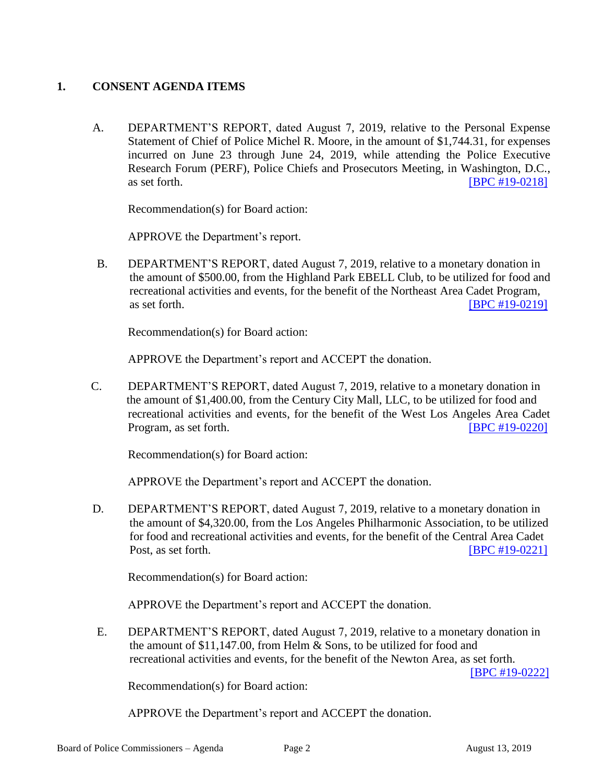### **1. CONSENT AGENDA ITEMS**

A. DEPARTMENT'S REPORT, dated August 7, 2019, relative to the Personal Expense Statement of Chief of Police Michel R. Moore, in the amount of \$1,744.31, for expenses incurred on June 23 through June 24, 2019, while attending the Police Executive Research Forum (PERF), Police Chiefs and Prosecutors Meeting, in Washington, D.C., as set forth. **IBPC #19-0218** 

Recommendation(s) for Board action:

APPROVE the Department's report.

B. DEPARTMENT'S REPORT, dated August 7, 2019, relative to a monetary donation in the amount of \$500.00, from the Highland Park EBELL Club, to be utilized for food and recreational activities and events, for the benefit of the Northeast Area Cadet Program, as set forth.  $[BPC #19-0219]$ 

Recommendation(s) for Board action:

APPROVE the Department's report and ACCEPT the donation.

C. DEPARTMENT'S REPORT, dated August 7, 2019, relative to a monetary donation in the amount of \$1,400.00, from the Century City Mall, LLC, to be utilized for food and recreational activities and events, for the benefit of the West Los Angeles Area Cadet Program, as set forth. **IDPC #19-0220** 

Recommendation(s) for Board action:

APPROVE the Department's report and ACCEPT the donation.

D. DEPARTMENT'S REPORT, dated August 7, 2019, relative to a monetary donation in the amount of \$4,320.00, from the Los Angeles Philharmonic Association, to be utilized for food and recreational activities and events, for the benefit of the Central Area Cadet Post, as set forth. **[\[BPC #19-0221\]](http://www.lapdpolicecom.lacity.org/081319/BPC_19-0221.pdf)** 

Recommendation(s) for Board action:

APPROVE the Department's report and ACCEPT the donation.

E. DEPARTMENT'S REPORT, dated August 7, 2019, relative to a monetary donation in the amount of \$11,147.00, from Helm & Sons, to be utilized for food and recreational activities and events, for the benefit of the Newton Area, as set forth.

[\[BPC #19-0222\]](http://www.lapdpolicecom.lacity.org/081319/BPC_19-0222.pdf)

Recommendation(s) for Board action:

APPROVE the Department's report and ACCEPT the donation.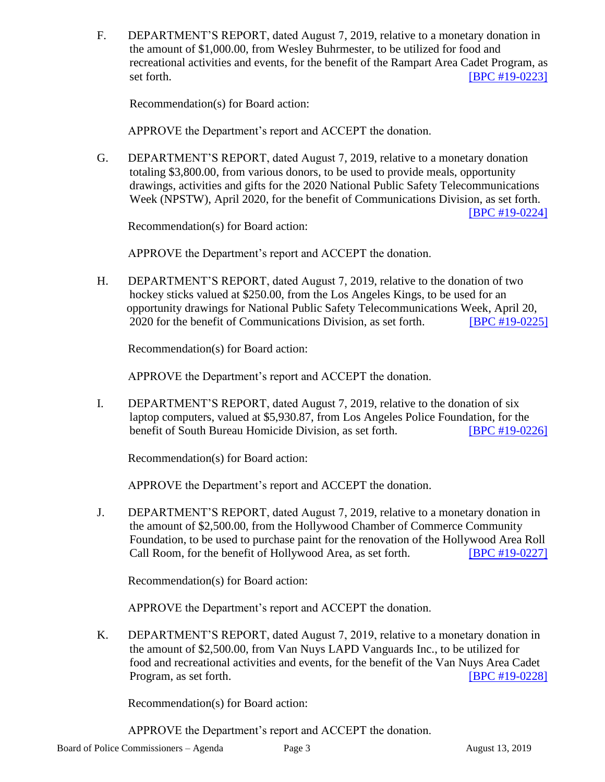F. DEPARTMENT'S REPORT, dated August 7, 2019, relative to a monetary donation in the amount of \$1,000.00, from Wesley Buhrmester, to be utilized for food and recreational activities and events, for the benefit of the Rampart Area Cadet Program, as set forth. **IBPC #19-02231** 

Recommendation(s) for Board action:

APPROVE the Department's report and ACCEPT the donation.

G. DEPARTMENT'S REPORT, dated August 7, 2019, relative to a monetary donation totaling \$3,800.00, from various donors, to be used to provide meals, opportunity drawings, activities and gifts for the 2020 National Public Safety Telecommunications Week (NPSTW), April 2020, for the benefit of Communications Division, as set forth.

[\[BPC #19-0224\]](http://www.lapdpolicecom.lacity.org/081319/BPC_19-0224.pdf)

Recommendation(s) for Board action:

APPROVE the Department's report and ACCEPT the donation.

H. DEPARTMENT'S REPORT, dated August 7, 2019, relative to the donation of two hockey sticks valued at \$250.00, from the Los Angeles Kings, to be used for an opportunity drawings for National Public Safety Telecommunications Week, April 20, 2020 for the benefit of Communications Division, as set forth. [\[BPC #19-0225\]](http://www.lapdpolicecom.lacity.org/081319/BPC_19-0225.pdf)

Recommendation(s) for Board action:

APPROVE the Department's report and ACCEPT the donation.

I. DEPARTMENT'S REPORT, dated August 7, 2019, relative to the donation of six laptop computers, valued at \$5,930.87, from Los Angeles Police Foundation, for the benefit of South Bureau Homicide Division, as set forth. **IBPC #19-0226** 

Recommendation(s) for Board action:

APPROVE the Department's report and ACCEPT the donation.

J. DEPARTMENT'S REPORT, dated August 7, 2019, relative to a monetary donation in the amount of \$2,500.00, from the Hollywood Chamber of Commerce Community Foundation, to be used to purchase paint for the renovation of the Hollywood Area Roll Call Room, for the benefit of Hollywood Area, as set forth. **[\[BPC #19-0227\]](http://www.lapdpolicecom.lacity.org/081319/BPC_19-0227.pdf)** 

Recommendation(s) for Board action:

APPROVE the Department's report and ACCEPT the donation.

K. DEPARTMENT'S REPORT, dated August 7, 2019, relative to a monetary donation in the amount of \$2,500.00, from Van Nuys LAPD Vanguards Inc., to be utilized for food and recreational activities and events, for the benefit of the Van Nuys Area Cadet Program, as set forth. **IDPC #19-0228** 

Recommendation(s) for Board action:

APPROVE the Department's report and ACCEPT the donation.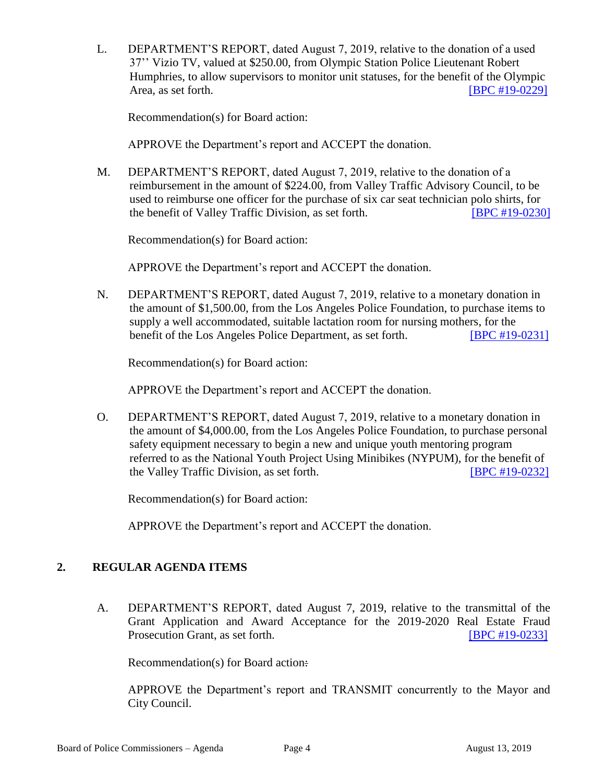L. DEPARTMENT'S REPORT, dated August 7, 2019, relative to the donation of a used 37'' Vizio TV, valued at \$250.00, from Olympic Station Police Lieutenant Robert Humphries, to allow supervisors to monitor unit statuses, for the benefit of the Olympic Area, as set forth. **IDPC #19-0229** 

Recommendation(s) for Board action:

APPROVE the Department's report and ACCEPT the donation.

M. DEPARTMENT'S REPORT, dated August 7, 2019, relative to the donation of a reimbursement in the amount of \$224.00, from Valley Traffic Advisory Council, to be used to reimburse one officer for the purchase of six car seat technician polo shirts, for the benefit of Valley Traffic Division, as set forth. [\[BPC #19-0230\]](http://www.lapdpolicecom.lacity.org/081319/BPC_19-0230.pdf)

Recommendation(s) for Board action:

APPROVE the Department's report and ACCEPT the donation.

N. DEPARTMENT'S REPORT, dated August 7, 2019, relative to a monetary donation in the amount of \$1,500.00, from the Los Angeles Police Foundation, to purchase items to supply a well accommodated, suitable lactation room for nursing mothers, for the benefit of the Los Angeles Police Department, as set forth. [\[BPC #19-0231\]](http://www.lapdpolicecom.lacity.org/081319/BPC_19-0231.pdf)

Recommendation(s) for Board action:

APPROVE the Department's report and ACCEPT the donation.

O. DEPARTMENT'S REPORT, dated August 7, 2019, relative to a monetary donation in the amount of \$4,000.00, from the Los Angeles Police Foundation, to purchase personal safety equipment necessary to begin a new and unique youth mentoring program referred to as the National Youth Project Using Minibikes (NYPUM), for the benefit of the Valley Traffic Division, as set forth. [\[BPC #19-0232\]](http://www.lapdpolicecom.lacity.org/081319/BPC_19-0232.pdf)

Recommendation(s) for Board action:

APPROVE the Department's report and ACCEPT the donation.

#### **2. REGULAR AGENDA ITEMS**

A. DEPARTMENT'S REPORT, dated August 7, 2019, relative to the transmittal of the Grant Application and Award Acceptance for the 2019-2020 Real Estate Fraud Prosecution Grant, as set forth. [\[BPC #19-0233\]](http://www.lapdpolicecom.lacity.org/081319/BPC_19-0233.pdf)

Recommendation(s) for Board action:

APPROVE the Department's report and TRANSMIT concurrently to the Mayor and City Council.